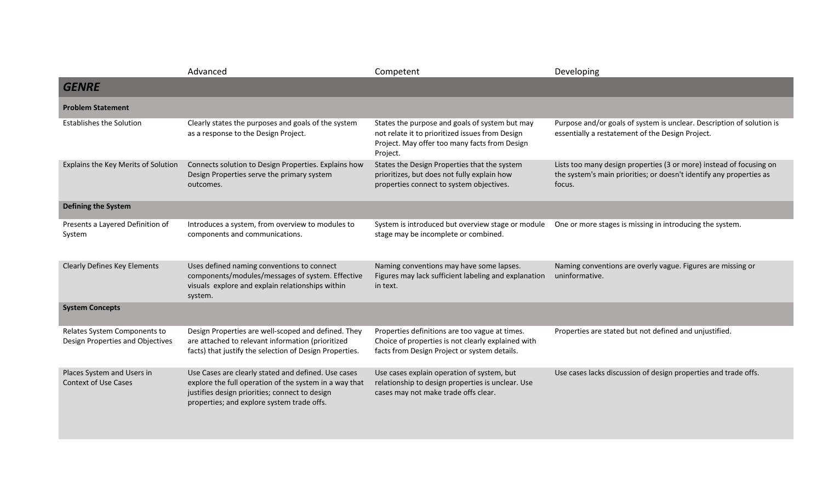|                                                                  | Advanced                                                                                                                                                                                                      | Competent                                                                                                                                                      | Developing                                                                                                                                           |
|------------------------------------------------------------------|---------------------------------------------------------------------------------------------------------------------------------------------------------------------------------------------------------------|----------------------------------------------------------------------------------------------------------------------------------------------------------------|------------------------------------------------------------------------------------------------------------------------------------------------------|
| <b>GENRE</b>                                                     |                                                                                                                                                                                                               |                                                                                                                                                                |                                                                                                                                                      |
| <b>Problem Statement</b>                                         |                                                                                                                                                                                                               |                                                                                                                                                                |                                                                                                                                                      |
| <b>Establishes the Solution</b>                                  | Clearly states the purposes and goals of the system<br>as a response to the Design Project.                                                                                                                   | States the purpose and goals of system but may<br>not relate it to prioritized issues from Design<br>Project. May offer too many facts from Design<br>Project. | Purpose and/or goals of system is unclear. Description of solution is<br>essentially a restatement of the Design Project.                            |
| Explains the Key Merits of Solution                              | Connects solution to Design Properties. Explains how<br>Design Properties serve the primary system<br>outcomes.                                                                                               | States the Design Properties that the system<br>prioritizes, but does not fully explain how<br>properties connect to system objectives.                        | Lists too many design properties (3 or more) instead of focusing on<br>the system's main priorities; or doesn't identify any properties as<br>focus. |
| <b>Defining the System</b>                                       |                                                                                                                                                                                                               |                                                                                                                                                                |                                                                                                                                                      |
| Presents a Layered Definition of<br>System                       | Introduces a system, from overview to modules to<br>components and communications.                                                                                                                            | System is introduced but overview stage or module<br>stage may be incomplete or combined.                                                                      | One or more stages is missing in introducing the system.                                                                                             |
| <b>Clearly Defines Key Elements</b>                              | Uses defined naming conventions to connect<br>components/modules/messages of system. Effective<br>visuals explore and explain relationships within<br>system.                                                 | Naming conventions may have some lapses.<br>Figures may lack sufficient labeling and explanation<br>in text.                                                   | Naming conventions are overly vague. Figures are missing or<br>uninformative.                                                                        |
| <b>System Concepts</b>                                           |                                                                                                                                                                                                               |                                                                                                                                                                |                                                                                                                                                      |
| Relates System Components to<br>Design Properties and Objectives | Design Properties are well-scoped and defined. They<br>are attached to relevant information (prioritized<br>facts) that justify the selection of Design Properties.                                           | Properties definitions are too vague at times.<br>Choice of properties is not clearly explained with<br>facts from Design Project or system details.           | Properties are stated but not defined and unjustified.                                                                                               |
| Places System and Users in<br><b>Context of Use Cases</b>        | Use Cases are clearly stated and defined. Use cases<br>explore the full operation of the system in a way that<br>justifies design priorities; connect to design<br>properties; and explore system trade offs. | Use cases explain operation of system, but<br>relationship to design properties is unclear. Use<br>cases may not make trade offs clear.                        | Use cases lacks discussion of design properties and trade offs.                                                                                      |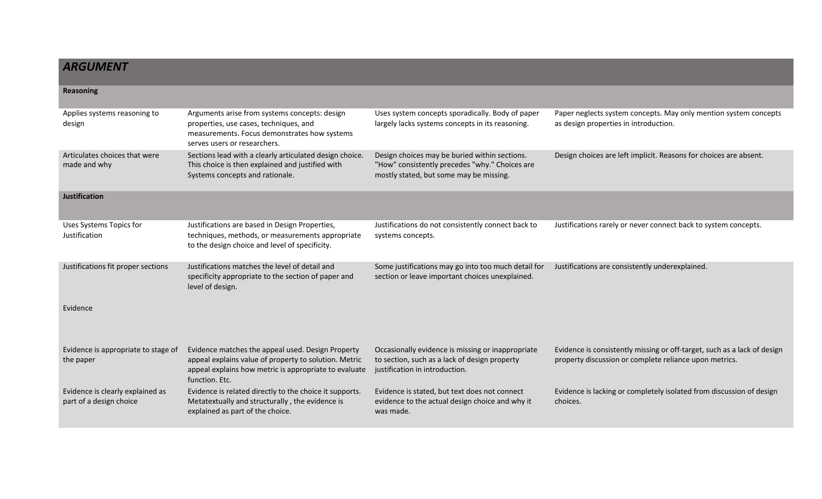## *ARGUMENT*

| <b>Reasoning</b>                                            |                                                                                                                                                                                       |                                                                                                                                            |                                                                                                                                    |
|-------------------------------------------------------------|---------------------------------------------------------------------------------------------------------------------------------------------------------------------------------------|--------------------------------------------------------------------------------------------------------------------------------------------|------------------------------------------------------------------------------------------------------------------------------------|
| Applies systems reasoning to<br>design                      | Arguments arise from systems concepts: design<br>properties, use cases, techniques, and<br>measurements. Focus demonstrates how systems<br>serves users or researchers.               | Uses system concepts sporadically. Body of paper<br>largely lacks systems concepts in its reasoning.                                       | Paper neglects system concepts. May only mention system concepts<br>as design properties in introduction.                          |
| Articulates choices that were<br>made and why               | Sections lead with a clearly articulated design choice.<br>This choice is then explained and justified with<br>Systems concepts and rationale.                                        | Design choices may be buried within sections.<br>"How" consistently precedes "why." Choices are<br>mostly stated, but some may be missing. | Design choices are left implicit. Reasons for choices are absent.                                                                  |
| <b>Justification</b>                                        |                                                                                                                                                                                       |                                                                                                                                            |                                                                                                                                    |
| Uses Systems Topics for<br>Justification                    | Justifications are based in Design Properties,<br>techniques, methods, or measurements appropriate<br>to the design choice and level of specificity.                                  | Justifications do not consistently connect back to<br>systems concepts.                                                                    | Justifications rarely or never connect back to system concepts.                                                                    |
| Justifications fit proper sections                          | Justifications matches the level of detail and<br>specificity appropriate to the section of paper and<br>level of design.                                                             | Some justifications may go into too much detail for<br>section or leave important choices unexplained.                                     | Justifications are consistently underexplained.                                                                                    |
| Evidence                                                    |                                                                                                                                                                                       |                                                                                                                                            |                                                                                                                                    |
| Evidence is appropriate to stage of<br>the paper            | Evidence matches the appeal used. Design Property<br>appeal explains value of property to solution. Metric<br>appeal explains how metric is appropriate to evaluate<br>function. Etc. | Occasionally evidence is missing or inappropriate<br>to section, such as a lack of design property<br>justification in introduction.       | Evidence is consistently missing or off-target, such as a lack of design<br>property discussion or complete reliance upon metrics. |
| Evidence is clearly explained as<br>part of a design choice | Evidence is related directly to the choice it supports.<br>Metatextually and structurally, the evidence is<br>explained as part of the choice.                                        | Evidence is stated, but text does not connect<br>evidence to the actual design choice and why it<br>was made.                              | Evidence is lacking or completely isolated from discussion of design<br>choices.                                                   |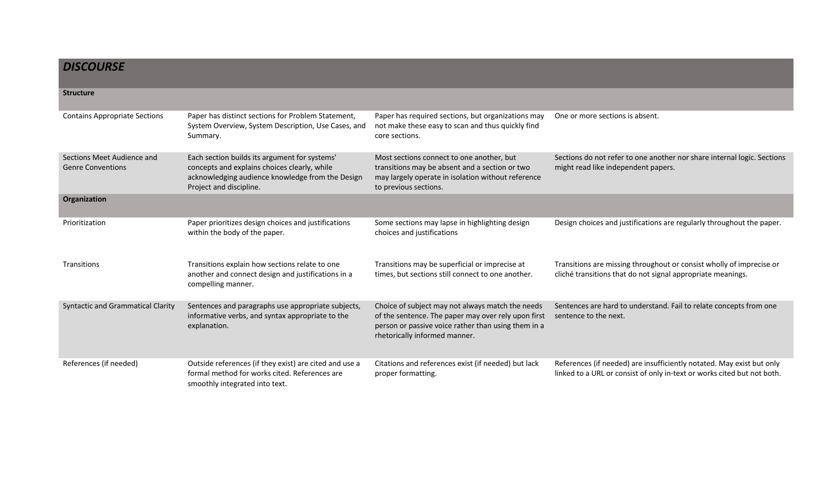| <b>DISCOURSE</b>                                       |                                                                                                                                                                              |                                                                                                                                                                                                 |                                                                                                                                                  |
|--------------------------------------------------------|------------------------------------------------------------------------------------------------------------------------------------------------------------------------------|-------------------------------------------------------------------------------------------------------------------------------------------------------------------------------------------------|--------------------------------------------------------------------------------------------------------------------------------------------------|
| <b>Structure</b>                                       |                                                                                                                                                                              |                                                                                                                                                                                                 |                                                                                                                                                  |
| <b>Contains Appropriate Sections</b>                   | Paper has distinct sections for Problem Statement,<br>System Overview, System Description, Use Cases, and<br>Summary.                                                        | Paper has required sections, but organizations may<br>not make these easy to scan and thus quickly find<br>core sections.                                                                       | One or more sections is absent.                                                                                                                  |
| Sections Meet Audience and<br><b>Genre Conventions</b> | Each section builds its argument for systems'<br>concepts and explains choices clearly, while<br>acknowledging audience knowledge from the Design<br>Project and discipline. | Most sections connect to one another, but<br>transitions may be absent and a section or two<br>may largely operate in isolation without reference<br>to previous sections.                      | Sections do not refer to one another nor share internal logic. Sections<br>might read like independent papers.                                   |
| Organization                                           |                                                                                                                                                                              |                                                                                                                                                                                                 |                                                                                                                                                  |
| Prioritization                                         | Paper prioritizes design choices and justifications<br>within the body of the paper.                                                                                         | Some sections may lapse in highlighting design<br>choices and justifications                                                                                                                    | Design choices and justifications are regularly throughout the paper.                                                                            |
| Transitions                                            | Transitions explain how sections relate to one<br>another and connect design and justifications in a<br>compelling manner.                                                   | Transitions may be superficial or imprecise at<br>times, but sections still connect to one another.                                                                                             | Transitions are missing throughout or consist wholly of imprecise or<br>cliché transitions that do not signal appropriate meanings.              |
| <b>Syntactic and Grammatical Clarity</b>               | Sentences and paragraphs use appropriate subjects,<br>informative verbs, and syntax appropriate to the<br>explanation.                                                       | Choice of subject may not always match the needs<br>of the sentence. The paper may over rely upon first<br>person or passive voice rather than using them in a<br>rhetorically informed manner. | Sentences are hard to understand. Fail to relate concepts from one<br>sentence to the next.                                                      |
| References (if needed)                                 | Outside references (if they exist) are cited and use a<br>formal method for works cited. References are<br>smoothly integrated into text.                                    | Citations and references exist (if needed) but lack<br>proper formatting.                                                                                                                       | References (if needed) are insufficiently notated. May exist but only<br>linked to a URL or consist of only in-text or works cited but not both. |